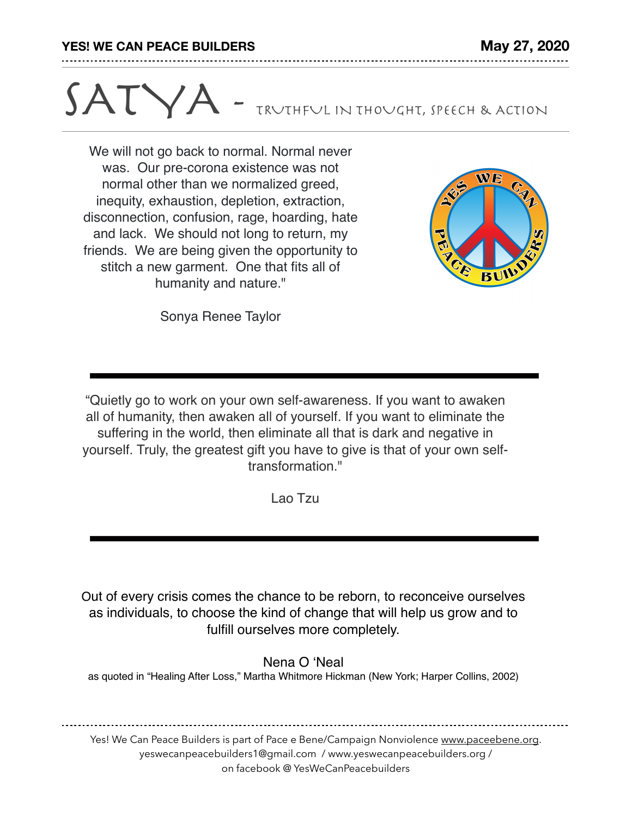## SATYA - TRUTHFUL IN THOUGHT, SPEECH & ACTION

We will not go back to normal. Normal never was. Our pre-corona existence was not normal other than we normalized greed, inequity, exhaustion, depletion, extraction, disconnection, confusion, rage, hoarding, hate and lack. We should not long to return, my friends. We are being given the opportunity to stitch a new garment. One that fits all of humanity and nature."



Sonya Renee Taylor

"Quietly go to work on your own self-awareness. If you want to awaken all of humanity, then awaken all of yourself. If you want to eliminate the suffering in the world, then eliminate all that is dark and negative in yourself. Truly, the greatest gift you have to give is that of your own selftransformation."

Lao Tzu

Out of every crisis comes the chance to be reborn, to reconceive ourselves as individuals, to choose the kind of change that will help us grow and to fulfill ourselves more completely.

Nena O 'Neal

as quoted in "Healing After Loss," Martha Whitmore Hickman (New York; Harper Collins, 2002)

Yes! We Can Peace Builders is part of Pace e Bene/Campaign Nonviolence [www.paceebene.org](http://www.paceebene.org). yeswecanpeacebuilders1@gmail.com / www.yeswecanpeacebuilders.org / on facebook @ YesWeCanPeacebuilders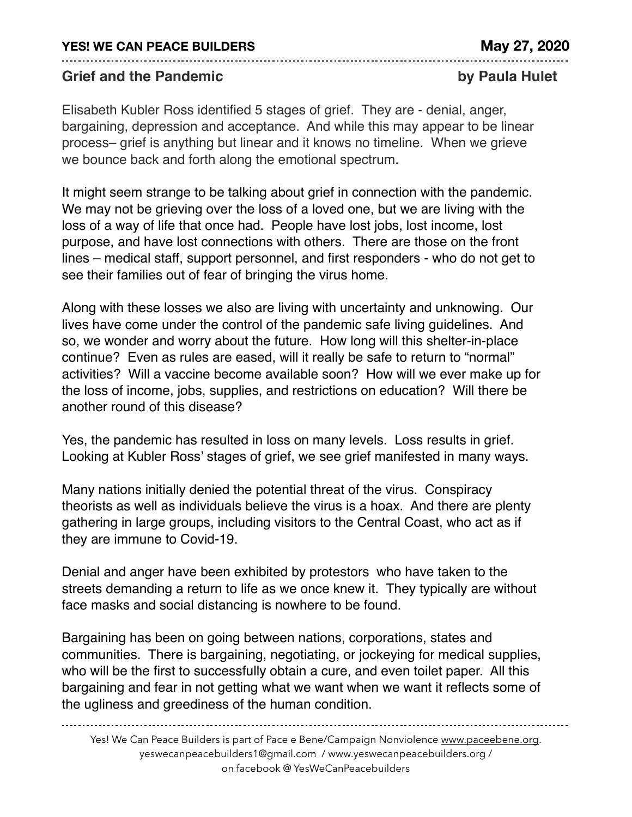## **YES! WE CAN PEACE BUILDERS May 27, 2020**

## **Grief and the Pandemic by Paula Hulet**

Elisabeth Kubler Ross identified 5 stages of grief. They are - denial, anger, bargaining, depression and acceptance. And while this may appear to be linear process– grief is anything but linear and it knows no timeline. When we grieve we bounce back and forth along the emotional spectrum.

It might seem strange to be talking about grief in connection with the pandemic. We may not be grieving over the loss of a loved one, but we are living with the loss of a way of life that once had. People have lost jobs, lost income, lost purpose, and have lost connections with others. There are those on the front lines – medical staff, support personnel, and first responders - who do not get to see their families out of fear of bringing the virus home.

Along with these losses we also are living with uncertainty and unknowing. Our lives have come under the control of the pandemic safe living guidelines. And so, we wonder and worry about the future. How long will this shelter-in-place continue? Even as rules are eased, will it really be safe to return to "normal" activities? Will a vaccine become available soon? How will we ever make up for the loss of income, jobs, supplies, and restrictions on education? Will there be another round of this disease?

Yes, the pandemic has resulted in loss on many levels. Loss results in grief. Looking at Kubler Ross' stages of grief, we see grief manifested in many ways.

Many nations initially denied the potential threat of the virus. Conspiracy theorists as well as individuals believe the virus is a hoax. And there are plenty gathering in large groups, including visitors to the Central Coast, who act as if they are immune to Covid-19.

Denial and anger have been exhibited by protestors who have taken to the streets demanding a return to life as we once knew it. They typically are without face masks and social distancing is nowhere to be found.

Bargaining has been on going between nations, corporations, states and communities. There is bargaining, negotiating, or jockeying for medical supplies, who will be the first to successfully obtain a cure, and even toilet paper. All this bargaining and fear in not getting what we want when we want it reflects some of the ugliness and greediness of the human condition.

Yes! We Can Peace Builders is part of Pace e Bene/Campaign Nonviolence [www.paceebene.org](http://www.paceebene.org). yeswecanpeacebuilders1@gmail.com / www.yeswecanpeacebuilders.org / on facebook @ YesWeCanPeacebuilders